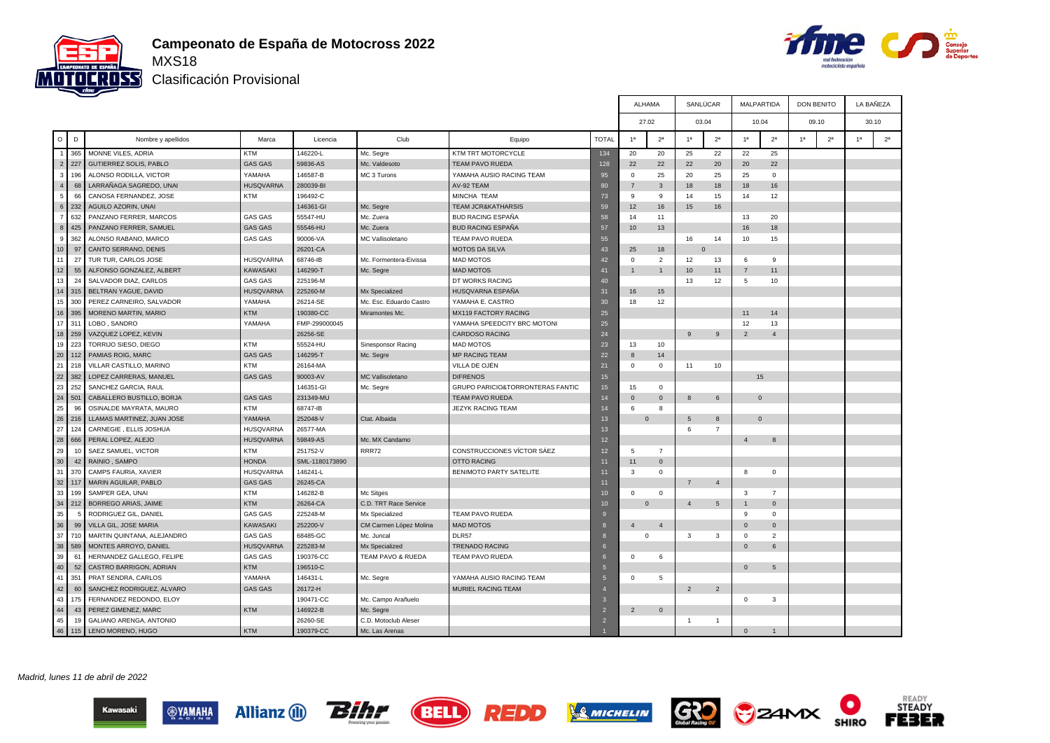



Т

┰

Clasificación Provisional

|                 |                             |                            |                  |                |                         |                                             |                 | ALHAMA         |                |                | SANLUCAR        |                | MALPARTIDA      | <b>DON BENITO</b> |                | LA BANEZA      |                |  |  |
|-----------------|-----------------------------|----------------------------|------------------|----------------|-------------------------|---------------------------------------------|-----------------|----------------|----------------|----------------|-----------------|----------------|-----------------|-------------------|----------------|----------------|----------------|--|--|
|                 |                             |                            |                  |                |                         |                                             |                 | 27.02          |                |                | 03.04           |                | 10.04           | 09.10             |                |                | 30.10          |  |  |
| $\circ$         | D                           | Nombre y apellidos         | Marca            | Licencia       | Club                    | Equipo                                      | <b>TOTAL</b>    | 1 <sup>a</sup> | 2 <sup>a</sup> | 1 <sup>a</sup> | 2 <sup>a</sup>  | 1 <sup>a</sup> | 2 <sup>a</sup>  | 1 <sup>a</sup>    | 2 <sup>a</sup> | 1 <sup>a</sup> | 2 <sup>a</sup> |  |  |
|                 | 365<br>$\blacktriangleleft$ | MONNE VILES, ADRIA         | <b>KTM</b>       | 146220-L       | Mc. Segre               | KTM TRT MOTORCYCLE                          | 134             | 20             | 20             | 25             | 22              | 22             | 25              |                   |                |                |                |  |  |
|                 | 2<br>227                    | GUTIERREZ SOLIS, PABLO     | <b>GAS GAS</b>   | 59836-AS       | Mc. Valdesoto           | <b>TEAM PAVO RUEDA</b>                      | 128             | 22             | 22             | 22             | 20              | 20             | 22              |                   |                |                |                |  |  |
|                 | 196<br>3                    | ALONSO RODILLA, VICTOR     | YAMAHA           | 146587-B       | MC 3 Turons             | YAMAHA AUSIO RACING TEAM                    | 95              | $\mathbf{0}$   | 25             | 20             | 25              | 25             | $\overline{0}$  |                   |                |                |                |  |  |
|                 | $\overline{4}$<br>68        | LARRAÑAGA SAGREDO, UNAI    | <b>HUSQVARNA</b> | 280039-BI      |                         | AV-92 TEAM                                  | 80              | $\overline{7}$ | 3              | 18             | 18              | 18             | 16              |                   |                |                |                |  |  |
|                 | 66<br>5                     | CANOSA FERNANDEZ, JOSE     | <b>KTM</b>       | 196492-C       |                         | MINCHA TEAM                                 | 73              | 9              | 9              | 14             | 15              | 14             | 12              |                   |                |                |                |  |  |
|                 | $6\phantom{.}$<br>232       | AGUILO AZORIN, UNAI        |                  | 146361-GI      | Mc. Segre               | <b>TEAM JCR&amp;KATHARSIS</b>               | 59              | 12             | 16             | 15             | 16              |                |                 |                   |                |                |                |  |  |
| $\overline{7}$  | 632                         | PANZANO FERRER, MARCOS     | <b>GAS GAS</b>   | 55547-HU       | Mc. Zuera               | <b>BUD RACING ESPAÑA</b>                    | 58              | 14             | 11             |                |                 | 13             | 20              |                   |                |                |                |  |  |
|                 | $\bf{8}$<br>425             | PANZANO FERRER, SAMUEL     | <b>GAS GAS</b>   | 55546-HU       | Mc. Zuera               | <b>BUD RACING ESPAÑA</b>                    | 57              | 10             | 13             |                |                 | 16             | 18              |                   |                |                |                |  |  |
|                 | 9<br>362                    | ALONSO RABANO, MARCO       | <b>GAS GAS</b>   | 90006-VA       | MC Vallisoletano        | <b>TEAM PAVO RUEDA</b>                      | 55              |                |                | 16             | 14              | 10             | 15              |                   |                |                |                |  |  |
| 10 <sup>1</sup> | 97                          | CANTO SERRANO, DENIS       |                  | 26201-CA       |                         | <b>MOTOS DA SILVA</b>                       | 43              | 25             | 18             |                | $\Omega$        |                |                 |                   |                |                |                |  |  |
| 11              | 27                          | TUR TUR. CARLOS JOSE       | <b>HUSQVARNA</b> | 68746-IB       | Mc. Formentera-Eivissa  | <b>MAD MOTOS</b>                            | 42              | $\Omega$       | 2              | 12             | 13              | 6              | 9               |                   |                |                |                |  |  |
| 12              | 55                          | ALFONSO GONZALEZ, ALBERT   | <b>KAWASAKI</b>  | 146290-T       | Mc. Segre               | <b>MAD MOTOS</b>                            | 41              | $\mathbf{1}$   | $\mathbf{1}$   | 10             | 11              | $\overline{7}$ | 11              |                   |                |                |                |  |  |
| 13              | 24                          | SALVADOR DIAZ, CARLOS      | <b>GAS GAS</b>   | 225196-M       |                         | DT WORKS RACING                             | 40              |                |                | 13             | 12              | 5              | 10              |                   |                |                |                |  |  |
| 14              | 315                         | BELTRAN YAGUE, DAVID       | <b>HUSQVARNA</b> | 225260-M       | Mx Specialized          | HUSQVARNA ESPAÑA                            | 31              | 16             | 15             |                |                 |                |                 |                   |                |                |                |  |  |
| 15              | 300                         | PEREZ CARNEIRO, SALVADOR   | YAMAHA           | 26214-SE       | Mc. Esc. Eduardo Castro | YAMAHA E. CASTRO                            | 30              | 18             | 12             |                |                 |                |                 |                   |                |                |                |  |  |
|                 | 16 395                      | MORENO MARTIN, MARIO       | <b>KTM</b>       | 190380-CC      | Miramontes Mc.          | MX119 FACTORY RACING                        | 25              |                |                |                |                 | 11             | 14              |                   |                |                |                |  |  |
| 17              | 311                         | LOBO, SANDRO               | YAMAHA           | FMP-299000045  |                         | YAMAHA SPEEDCITY BRC MOTONI                 | 25              |                |                |                |                 | 12             | 13              |                   |                |                |                |  |  |
|                 | 18 259                      | VAZQUEZ LOPEZ, KEVIN       |                  | 26256-SE       |                         | <b>CARDOSO RACING</b>                       | 24              |                |                | 9              | 9               | $\overline{2}$ | $\overline{4}$  |                   |                |                |                |  |  |
| 19              | 223                         | TORRIJO SIESO, DIEGO       | <b>KTM</b>       | 55524-HU       | Sinesponsor Racing      | <b>MAD MOTOS</b>                            | 23              | 13             | 10             |                |                 |                |                 |                   |                |                |                |  |  |
| 20              | 112                         | PAMIAS ROIG, MARC          | <b>GAS GAS</b>   | 146295-T       | Mc. Segre               | <b>MP RACING TEAM</b>                       | 22              | $\mathbf{8}$   | 14             |                |                 |                |                 |                   |                |                |                |  |  |
| 21              | 218                         | VILLAR CASTILLO, MARINO    | <b>KTM</b>       | 26164-MA       |                         | VILLA DE OJÉN                               | 21              | $\mathbf{0}$   | $\mathbf{0}$   | 11             | 10              |                |                 |                   |                |                |                |  |  |
| 22              | 382                         | LOPEZ CARRERAS, MANUEL     | <b>GAS GAS</b>   | 90003-AV       | MC Vallisoletano        | <b>DIFRENOS</b>                             | 15              |                |                |                |                 |                | 15              |                   |                |                |                |  |  |
| 23              | 252                         | SANCHEZ GARCIA, RAUL       |                  | 146351-GI      | Mc. Segre               | <b>GRUPO PARICIO&amp;TORRONTERAS FANTIC</b> | 15              | 15             | $\mathbf{0}$   |                |                 |                |                 |                   |                |                |                |  |  |
| 24              | 501                         | CABALLERO BUSTILLO, BORJA  | <b>GAS GAS</b>   | 231349-MU      |                         | TEAM PAVO RUEDA                             | 14              | $\mathbf{0}$   | $\mathbf{0}$   | 8              | $\,6\,$         |                | $\mathbf{0}$    |                   |                |                |                |  |  |
| 25              | 96                          | OSINALDE MAYRATA, MAURO    | <b>KTM</b>       | 68747-IB       |                         | <b>JEZYK RACING TEAM</b>                    | 14              | 6              | 8              |                |                 |                |                 |                   |                |                |                |  |  |
| 26              | 216                         | LLAMAS MARTINEZ, JUAN JOSE | YAMAHA           | 252048-V       | Ctat. Albaida           |                                             | 13              | $\mathbf 0$    |                | 5              | 8               |                | $\mathbf{0}$    |                   |                |                |                |  |  |
| 27              | 124                         | CARNEGIE, ELLIS JOSHUA     | <b>HUSQVARNA</b> | 26577-MA       |                         |                                             | 13              |                |                | 6              | $\overline{7}$  |                |                 |                   |                |                |                |  |  |
| 28              | 666                         | PERAL LOPEZ, ALEJO         | <b>HUSQVARNA</b> | 59849-AS       | Mc. MX Candamo          |                                             | 12 <sup>2</sup> |                |                |                |                 | $\overline{4}$ | $\mathbf{8}$    |                   |                |                |                |  |  |
| 29              | 10                          | SAEZ SAMUEL, VICTOR        | <b>KTM</b>       | 251752-V       | <b>RRR72</b>            | CONSTRUCCIONES VÍCTOR SÁEZ                  | 12 <sub>2</sub> | 5              | $\overline{7}$ |                |                 |                |                 |                   |                |                |                |  |  |
| 30              | 42                          | RAINIO, SAMPO              | <b>HONDA</b>     | SML-1180173890 |                         | <b>OTTO RACING</b>                          | 11              | 11             | $\mathbf{0}$   |                |                 |                |                 |                   |                |                |                |  |  |
| 31              | 370                         | CAMPS FAURIA, XAVIER       | <b>HUSQVARNA</b> | 146241-L       |                         | BENIMOTO PARTY SATELITE                     |                 | 3              | $\mathbf{0}$   |                |                 | 8              | $\mathbf{0}$    |                   |                |                |                |  |  |
| 32              | 117                         | MARIN AGUILAR, PABLO       | <b>GAS GAS</b>   | 26245-CA       |                         |                                             | 11              |                |                | $\overline{7}$ | $\overline{4}$  |                |                 |                   |                |                |                |  |  |
| 33              | 199                         | SAMPER GEA, UNAI           | <b>KTM</b>       | 146282-B       | Mc Sitges               |                                             | 10              | 0              | $\mathbf 0$    |                |                 | 3              | $\overline{7}$  |                   |                |                |                |  |  |
| 34              | 212                         | BORREGO ARIAS, JAIME       | <b>KTM</b>       | 26264-CA       | C.D. TRT Race Service   |                                             | 10              | $\mathbf 0$    |                | $\overline{4}$ | $5\overline{5}$ | $\mathbf{1}$   | $\mathbf 0$     |                   |                |                |                |  |  |
| 35              | 5                           | RODRIGUEZ GIL, DANIEL      | <b>GAS GAS</b>   | 225248-M       | Mx Specialized          | TEAM PAVO RUEDA                             |                 |                |                |                |                 | 9              | $\mathbf 0$     |                   |                |                |                |  |  |
| 36              | 99                          | VILLA GIL, JOSE MARIA      | <b>KAWASAKI</b>  | 252200-V       | CM Carmen López Molina  | <b>MAD MOTOS</b>                            | F.              | $\overline{4}$ | $\overline{4}$ |                |                 | $\overline{0}$ | $\mathsf 0$     |                   |                |                |                |  |  |
| 37              | 710                         | MARTIN QUINTANA, ALEJANDRO | <b>GAS GAS</b>   | 68485-GC       | Mc. Juncal              | DLR57                                       | 8               | $\mathbf 0$    |                | 3              | 3               | $\Omega$       | $\overline{2}$  |                   |                |                |                |  |  |
| 38              | 589                         | MONTES ARROYO, DANIEL      | <b>HUSQVARNA</b> | 225283-M       | Mx Specialized          | <b>TRENADO RACING</b>                       | l 6             |                |                |                |                 | $\Omega$       | 6               |                   |                |                |                |  |  |
| 39              | 61                          | HERNANDEZ GALLEGO, FELIPE  | <b>GAS GAS</b>   | 190376-CC      | TEAM PAVO & RUEDA       | <b>TEAM PAVO RUEDA</b>                      | <b>6</b>        | $\mathbf{0}$   | 6              |                |                 |                |                 |                   |                |                |                |  |  |
| 40              | 52                          | CASTRO BARRIGON, ADRIAN    | <b>KTM</b>       | 196510-C       |                         |                                             |                 |                |                |                |                 | $\mathbf{0}$   | $5\phantom{.0}$ |                   |                |                |                |  |  |
| 41              | 351                         | PRAT SENDRA, CARLOS        | YAMAHA           | 146431-L       | Mc. Segre               | YAMAHA AUSIO RACING TEAM                    | 15              | 0              | 5              |                |                 |                |                 |                   |                |                |                |  |  |
| 42              | 60                          | SANCHEZ RODRIGUEZ, ALVARO  | <b>GAS GAS</b>   | 26172-H        |                         | MURIEL RACING TEAM                          |                 |                |                | $\overline{2}$ | $\overline{2}$  |                |                 |                   |                |                |                |  |  |
| 43              | 175                         | FERNANDEZ REDONDO, ELOY    |                  | 190471-CC      | Mc. Campo Arañuelo      |                                             | ĸ               |                |                |                |                 | $\mathbf 0$    | $\mathbf{3}$    |                   |                |                |                |  |  |
| 44              | 43                          | PEREZ GIMENEZ, MARC        | <b>KTM</b>       | 146922-B       | Mc. Segre               |                                             | $\overline{2}$  | $\overline{2}$ | $\overline{0}$ |                |                 |                |                 |                   |                |                |                |  |  |
| 45              | 19                          | GALIANO ARENGA, ANTONIO    |                  | 26260-SE       | C.D. Motoclub Aleser    |                                             | $\overline{2}$  |                |                | $\overline{1}$ | $\overline{1}$  |                |                 |                   |                |                |                |  |  |
| 46              | 115                         | LENO MORENO, HUGO          | <b>KTM</b>       | 190379-CC      | Mc. Las Arenas          |                                             |                 |                |                |                |                 | $\Omega$       | $\overline{1}$  |                   |                |                |                |  |  |

Madrid, lunes 11 de abril de 2022













READY<br>STEADY

**FEBER**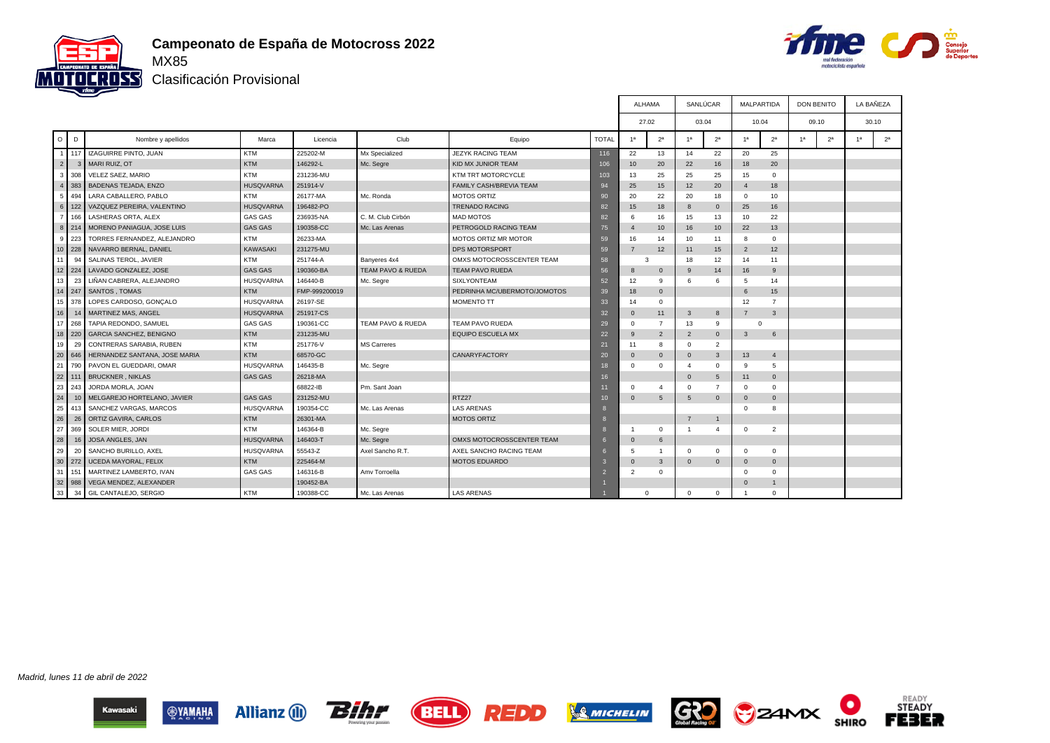



Clasificación Provisional

|                |              |                                |                  |               |                              |                                |                 | <b>ALHAMA</b>  |                |                                                    | SANLÚCAR       | <b>MALPARTIDA</b> |                | <b>DON BENITO</b> |                | LA BAÑEZA      |                |
|----------------|--------------|--------------------------------|------------------|---------------|------------------------------|--------------------------------|-----------------|----------------|----------------|----------------------------------------------------|----------------|-------------------|----------------|-------------------|----------------|----------------|----------------|
|                |              |                                |                  |               |                              |                                |                 | 27.02          |                |                                                    | 03.04          | 10.04             |                | 09.10             |                |                | 30.10          |
| $\circ$        | D            | Nombre y apellidos             | Marca            | Licencia      | Club                         | Equipo                         | <b>TOTAL</b>    | 1 <sup>a</sup> | 2 <sup>a</sup> | 1 <sup>a</sup>                                     | 2 <sup>a</sup> | 1 <sup>a</sup>    | 2 <sup>a</sup> | 1 <sup>a</sup>    | 2 <sup>a</sup> | 1 <sup>a</sup> | 2 <sup>a</sup> |
| $\overline{1}$ | 117          | <b>IZAGUIRRE PINTO, JUAN</b>   | <b>KTM</b>       | 225202-M      | Mx Specialized               | <b>JEZYK RACING TEAM</b>       | 116             | 22             | 13             | 25<br>22<br>20<br>14<br>20<br>16<br>20<br>18<br>22 |                |                   |                |                   |                |                |                |
| $\overline{2}$ | $\mathbf{3}$ | MARI RUIZ, OT                  | KTM              | 146292-L      | Mc. Segre                    | KID MX JUNIOR TEAM             | 106             | 10             |                |                                                    |                |                   |                |                   |                |                |                |
| 3              | 308          | VELEZ SAEZ, MARIO              | <b>KTM</b>       | 231236-MU     |                              | KTM TRT MOTORCYCLE             | 103             | 13             | 25             | 25                                                 | 25             | 15                | $\mathbf 0$    |                   |                |                |                |
| $\overline{4}$ | 383          | <b>BADENAS TEJADA, ENZO</b>    | <b>HUSQVARNA</b> | 251914-V      |                              | <b>FAMILY CASH/BREVIA TEAM</b> | 94              | 25             | 15             | 12                                                 | 20             | $\overline{4}$    | 18             |                   |                |                |                |
| 5              | 494          | LARA CABALLERO, PABLO          | <b>KTM</b>       | 26177-MA      | Mc. Ronda                    | <b>MOTOS ORTIZ</b>             | 90              | 20             | 22             | 20                                                 | 18             | $\overline{0}$    | 10             |                   |                |                |                |
| 6              | 122          | VAZQUEZ PEREIRA, VALENTINO     | <b>HUSQVARNA</b> | 196482-PO     |                              | <b>TRENADO RACING</b>          | 82              | 15             | 18             | 8                                                  | $\overline{0}$ | 25                | 16             |                   |                |                |                |
| $\overline{7}$ | 166          | LASHERAS ORTA, ALEX            | <b>GAS GAS</b>   | 236935-NA     | C. M. Club Cirbón            | <b>MAD MOTOS</b>               | 82              | 6              | 16             | 15                                                 | 13             | 10                | 22             |                   |                |                |                |
| 8              | 214          | MORENO PANIAGUA, JOSE LUIS     | <b>GAS GAS</b>   | 190358-CC     | Mc. Las Arenas               | PETROGOLD RACING TEAM          | 75              | $\overline{4}$ | 10             | 16                                                 | 10             | 22                | 13             |                   |                |                |                |
| 9              | 223          | TORRES FERNANDEZ, ALEJANDRO    | <b>KTM</b>       | 26233-MA      |                              | MOTOS ORTIZ MR MOTOR           | 59              | 16             | 14             | 10                                                 | 11             | 8                 | $\Omega$       |                   |                |                |                |
| 10             | 228          | NAVARRO BERNAL, DANIEL         | KAWASAKI         | 231275-MU     |                              | DPS MOTORSPORT                 | 59              | $\overline{7}$ | 12             | 11                                                 | 15             | $\overline{2}$    | 12             |                   |                |                |                |
| 11             | 94           | SALINAS TEROL, JAVIER          | <b>KTM</b>       | 251744-A      | Banyeres 4x4                 | OMXS MOTOCROSSCENTER TEAM      | 58              | 3              |                | 18                                                 | 12             | 14                | 11             |                   |                |                |                |
| 12             | 224          | LAVADO GONZALEZ, JOSE          | <b>GAS GAS</b>   | 190360-BA     | <b>TEAM PAVO &amp; RUEDA</b> | <b>TEAM PAVO RUEDA</b>         | 56              | 8              | $\overline{0}$ | 9                                                  | 14             | 16                | 9              |                   |                |                |                |
| 13             | 23           | LIÑAN CABRERA, ALEJANDRO       | <b>HUSQVARNA</b> | 146440-B      | Mc. Segre                    | <b>SIXLYONTEAM</b>             | 52              | 12             | 9              | 6                                                  | 6              | 5                 | 14             |                   |                |                |                |
| 14             | 247          | SANTOS, TOMAS                  | <b>KTM</b>       | FMP-999200019 |                              | PEDRINHA MC/UBERMOTO/JOMOTOS   | 39              | 18             | $\overline{0}$ |                                                    |                | 6                 | 15             |                   |                |                |                |
| 15             | 378          | LOPES CARDOSO, GONÇALO         | <b>HUSQVARNA</b> | 26197-SE      |                              | <b>MOMENTO TT</b>              | 33              | 14             | $\Omega$       |                                                    |                | 12                | $\overline{7}$ |                   |                |                |                |
| 16             | 14           | MARTINEZ MAS, ANGEL            | <b>HUSQVARNA</b> | 251917-CS     |                              |                                | 32              | $\mathbf{0}$   | 11             | 3                                                  | 8              | $\overline{7}$    | $\mathbf{3}$   |                   |                |                |                |
| 17             | 268          | TAPIA REDONDO, SAMUEL          | <b>GAS GAS</b>   | 190361-CC     | TEAM PAVO & RUEDA            | TEAM PAVO RUEDA                | 29              | $\Omega$       | $\overline{7}$ | 13                                                 | 9              | $\Omega$          |                |                   |                |                |                |
|                | 18 220       | <b>GARCIA SANCHEZ, BENIGNO</b> | KTM              | 231235-MU     |                              | <b>EQUIPO ESCUELA MX</b>       | 22              | 9              | $\overline{2}$ | $\overline{2}$                                     | $\overline{0}$ | $\mathbf{3}$      | 6              |                   |                |                |                |
| 19             | 29           | CONTRERAS SARABIA, RUBEN       | <b>KTM</b>       | 251776-V      | <b>MS Carreres</b>           |                                | 21              | 11             | 8              | $\mathbf 0$                                        | $\overline{2}$ |                   |                |                   |                |                |                |
| 20             | 646          | HERNANDEZ SANTANA, JOSE MARIA  | <b>KTM</b>       | 68570-GC      |                              | CANARYFACTORY                  | 20              | $\Omega$       | $\Omega$       | $\mathbf{0}$                                       | 3              | 13                | $\overline{4}$ |                   |                |                |                |
| 21             | 790          | PAVON EL GUEDDARI, OMAR        | <b>HUSQVARNA</b> | 146435-B      | Mc. Segre                    |                                | 18              | $\Omega$       | $\Omega$       | $\overline{4}$                                     | $^{\circ}$     | 9                 | 5              |                   |                |                |                |
| 22             | 111          | <b>BRUCKNER, NIKLAS</b>        | <b>GAS GAS</b>   | 26218-MA      |                              |                                | 16              |                |                | $\mathbf{0}$                                       | 5              | 11                | $\overline{0}$ |                   |                |                |                |
| 23             | 243          | JORDA MORLA, JOAN              |                  | 68822-IB      | Pm. Sant Joan                |                                | 11              | $\Omega$       | $\Delta$       | $\mathbf 0$                                        | $\overline{7}$ | $\mathbf{0}$      | $\mathbf 0$    |                   |                |                |                |
| 24             | 10           | MELGAREJO HORTELANO, JAVIER    | <b>GAS GAS</b>   | 231252-MU     |                              | RTZ27                          | 10 <sup>°</sup> | $\Omega$       | 5              | 5                                                  | $\overline{0}$ | $\mathbf{0}$      | $\mathbf 0$    |                   |                |                |                |
| 25             | 413          | SANCHEZ VARGAS, MARCOS         | <b>HUSQVARNA</b> | 190354-CC     | Mc. Las Arenas               | <b>LAS ARENAS</b>              | ю               |                |                |                                                    |                | $\overline{0}$    | 8              |                   |                |                |                |
| 26             | 26           | ORTIZ GAVIRA, CARLOS           | <b>KTM</b>       | 26301-MA      |                              | <b>MOTOS ORTIZ</b>             | ю               |                |                | $\overline{7}$                                     | $\overline{1}$ |                   |                |                   |                |                |                |
| 27             | 369          | SOLER MIER, JORDI              | <b>KTM</b>       | 146364-B      | Mc. Segre                    |                                |                 |                | $\mathbf{0}$   | $\overline{1}$                                     | $\overline{4}$ | $\mathbf 0$       | $\overline{2}$ |                   |                |                |                |
| 28             | 16           | JOSA ANGLES, JAN               | <b>HUSQVARNA</b> | 146403-T      | Mc. Segre                    | OMXS MOTOCROSSCENTER TEAM      |                 | $\mathbf 0$    | 6              |                                                    |                |                   |                |                   |                |                |                |
| 29             | 20           | SANCHO BURILLO, AXEL           | <b>HUSQVARNA</b> | 55543-Z       | Axel Sancho R.T.             | AXEL SANCHO RACING TEAM        |                 | $\overline{5}$ |                | $\Omega$                                           | $\mathbf 0$    | $\mathbf{0}$      | $\mathbf 0$    |                   |                |                |                |
| 30             | 272          | UCEDA MAYORAL, FELIX           | <b>KTM</b>       | 225464-M      |                              | <b>MOTOS EDUARDO</b>           |                 | $\Omega$       | 3              | $\mathbf{0}$                                       | $\overline{0}$ | $\Omega$          | $\Omega$       |                   |                |                |                |
| 31             | 151          | MARTINEZ LAMBERTO, IVAN        | <b>GAS GAS</b>   | 146316-B      | Amy Torroella                |                                |                 | $\overline{2}$ | $\Omega$       |                                                    |                | $\overline{0}$    | $\Omega$       |                   |                |                |                |
| 32             | 988          | VEGA MENDEZ, ALEXANDER         |                  | 190452-BA     |                              |                                |                 |                |                |                                                    |                | $\Omega$          | $\mathbf{1}$   |                   |                |                |                |
| 33             | 34           | GIL CANTALEJO, SERGIO          | <b>KTM</b>       | 190388-CC     | Mc. Las Arenas               | <b>LAS ARENAS</b>              |                 | $\Omega$       |                | $\mathbf 0$                                        | $\mathbf 0$    |                   | $\mathbf 0$    |                   |                |                |                |

Madrid, lunes 11 de abril de 2022













О

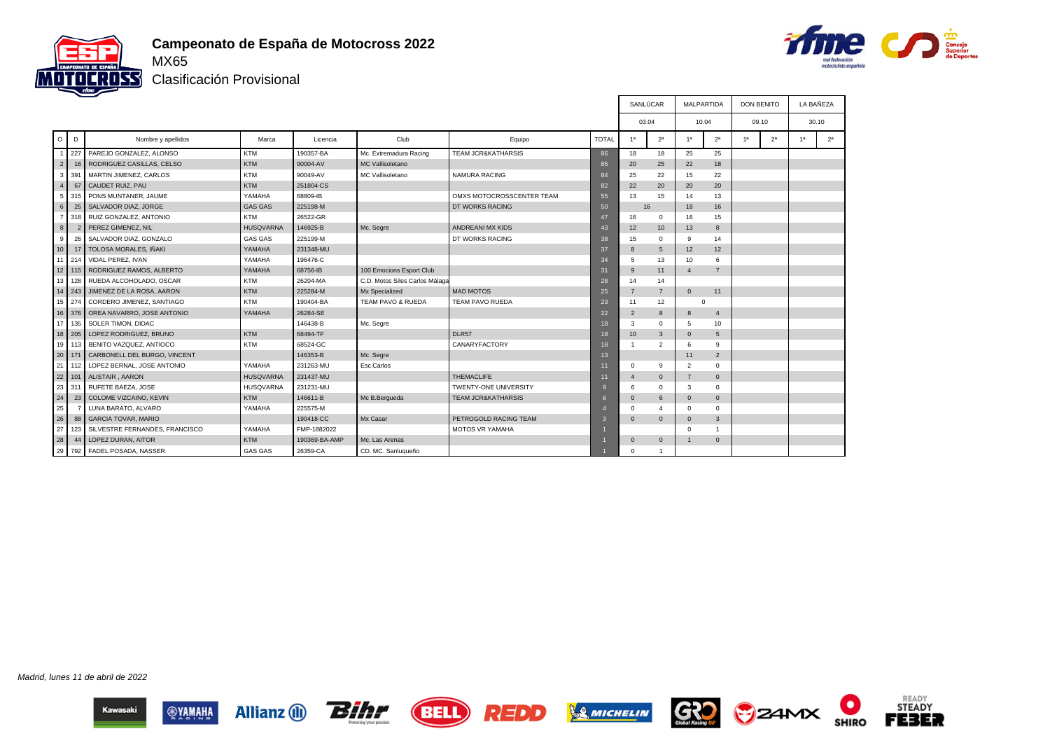



Clasificación Provisional

|                  |               |                                |                  |               |                                |                               |                 | SANLÚCAR       |                          | <b>MALPARTIDA</b> |                | <b>DON BENITO</b> |                | LA BAÑEZA      |                |
|------------------|---------------|--------------------------------|------------------|---------------|--------------------------------|-------------------------------|-----------------|----------------|--------------------------|-------------------|----------------|-------------------|----------------|----------------|----------------|
|                  |               |                                |                  |               |                                |                               |                 | 03.04          |                          | 10.04             |                | 09.10             |                |                | 30.10          |
| $\circ$          | D             | Nombre y apellidos             | Marca            | Licencia      | Club                           | Equipo                        | <b>TOTAL</b>    | 1 <sup>a</sup> | 2 <sup>a</sup>           | 1 <sup>a</sup>    | 2 <sup>a</sup> |                   | 2 <sup>a</sup> | 1 <sup>a</sup> | 2 <sup>a</sup> |
|                  | 227           | PAREJO GONZALEZ, ALONSO        | <b>KTM</b>       | 190357-BA     | Mc. Extremadura Racing         | <b>TEAM JCR&amp;KATHARSIS</b> | 86              | 18             | 18                       | 25                | 25             |                   |                |                |                |
| 2                | 16            | RODRIGUEZ CASILLAS, CELSO      | KTM              | 90004-AV      | MC Vallisoletano               |                               | 85              | 20             | 25                       | 22                | 18             |                   |                |                |                |
| 3                | 391           | MARTIN JIMENEZ, CARLOS         | <b>KTM</b>       | 90049-AV      | MC Vallisoletano               | <b>NAMURA RACING</b>          | 84              | 25             | 22                       | 15                | 22             |                   |                |                |                |
| $\overline{4}$   | 67            | CAUDET RUIZ, PAU               | KTM              | 251804-CS     |                                |                               | 82              | 22             | 20                       | 20                | 20             |                   |                |                |                |
| 5                | 315           | PONS MUNTANER, JAUME           | YAMAHA           | 68809-IB      |                                | OMXS MOTOCROSSCENTER TEAM     | 55              | 13             | 15                       | 14                | 13             |                   |                |                |                |
| $6\phantom{.}$   | 25            | SALVADOR DIAZ, JORGE           | <b>GAS GAS</b>   | 225198-M      |                                | DT WORKS RACING               | 50              | 16             |                          | 18                | 16             |                   |                |                |                |
| $\overline{7}$   | 315           | RUIZ GONZALEZ, ANTONIO         | <b>KTM</b>       | 26522-GR      |                                |                               | 47              | 16             | $^{\circ}$               | 16                | 15             |                   |                |                |                |
| $\boldsymbol{8}$ |               | PEREZ GIMENEZ, NIL             | <b>HUSQVARNA</b> | 146925-B      | Mc. Segre                      | <b>ANDREANI MX KIDS</b>       | 43              | 12             | 10                       | 13                | 8              |                   |                |                |                |
| 9                | 26            | SALVADOR DIAZ, GONZALO         | <b>GAS GAS</b>   | 225199-M      |                                | DT WORKS RACING               | 38              | 15             | $\Omega$                 | 9                 | 14             |                   |                |                |                |
| 10               | 17            | TOLOSA MORALES, IÑAKI          | YAMAHA           | 231348-MU     |                                |                               | 37              | $\mathbf{8}$   | 5                        | 12                | 12             |                   |                |                |                |
| 11               | 214           | VIDAL PEREZ. IVAN              | YAMAHA           | 196476-C      |                                |                               | 34              | 5              | 13                       | 10                | 6              |                   |                |                |                |
|                  | 12 115        | RODRIGUEZ RAMOS, ALBERTO       | YAMAHA           | 68756-IB      | 100 Emocions Esport Club       |                               | 31              | 9              | 11                       | $\overline{4}$    | $\overline{7}$ |                   |                |                |                |
|                  | $13$ 128      | RUEDA ALCOHOLADO, OSCAR        | <b>KTM</b>       | 26204-MA      | C.D. Motos Siles Carlos Málaga |                               | 28              | 14             | 14                       |                   |                |                   |                |                |                |
|                  | $14 \mid 243$ | JIMENEZ DE LA ROSA, AARON      | KTM              | 225284-M      | Mx Specialized                 | <b>MAD MOTOS</b>              | 25              | $\overline{7}$ | $\overline{7}$           | $\Omega$          | 11             |                   |                |                |                |
|                  | 15 274        | CORDERO JIMENEZ, SANTIAGO      | <b>KTM</b>       | 190404-BA     | TEAM PAVO & RUEDA              | TEAM PAVO RUEDA               | 23              | 11             | 12                       | $\mathbf 0$       |                |                   |                |                |                |
|                  | 16 376        | OREA NAVARRO, JOSE ANTONIO     | YAMAHA           | 26284-SE      |                                |                               | 22              | $\overline{2}$ | 8                        | 8                 | $\overline{4}$ |                   |                |                |                |
| 17               | 135           | SOLER TIMON, DIDAC             |                  | 146438-B      | Mc. Segre                      |                               | 18              | 3              | $\Omega$                 | 5                 | 10             |                   |                |                |                |
|                  | 18 205        | LOPEZ RODRIGUEZ, BRUNO         | KTM              | 68494-TF      |                                | DLR57                         | 18              | 10             | $\overline{3}$           | $\mathbf{0}$      | 5              |                   |                |                |                |
|                  | 19 113        | BENITO VAZQUEZ, ANTIOCO        | <b>KTM</b>       | 68524-GC      |                                | CANARYFACTORY                 | 18              |                | $\overline{\phantom{a}}$ | 6                 | 9              |                   |                |                |                |
| 20               | 171           | CARBONELL DEL BURGO, VINCENT   |                  | 146353-B      | Mc. Segre                      |                               | 13 <sup>°</sup> |                |                          | 11                | $\overline{2}$ |                   |                |                |                |
| 21               | 112           | LOPEZ BERNAL, JOSE ANTONIO     | YAMAHA           | 231263-MU     | Esc.Carlos                     |                               | 11              | $\mathbf 0$    | 9                        | $\overline{2}$    | $\Omega$       |                   |                |                |                |
|                  | $22$ 101      | ALISTAIR, AARON                | <b>HUSQVARNA</b> | 231437-MU     |                                | THEMACLIFE                    | 11              | $\overline{4}$ | $\overline{0}$           | $\overline{7}$    | $\mathbf{0}$   |                   |                |                |                |
| 23               | 311           | RUFETE BAEZA, JOSE             | <b>HUSQVARNA</b> | 231231-MU     |                                | <b>TWENTY-ONE UNIVERSITY</b>  | $\mathbf{q}$    | 6              | $\Omega$                 | 3                 | $\Omega$       |                   |                |                |                |
| 24               | 23            | COLOME VIZCAINO, KEVIN         | <b>KTM</b>       | 146611-B      | Mc B.Bergueda                  | <b>TEAM JCR&amp;KATHARSIS</b> |                 | $\Omega$       | 6                        | $\mathbf{0}$      | $\mathbf{0}$   |                   |                |                |                |
| 25               |               | LUNA BARATO, ALVARO            | YAMAHA           | 225575-M      |                                |                               |                 | $\Omega$       | $\boldsymbol{\Lambda}$   | $^{\circ}$        | $\mathbf{0}$   |                   |                |                |                |
| 26               | 88            | <b>GARCIA TOVAR, MARIO</b>     |                  | 190418-CC     | Mx Casar                       | PETROGOLD RACING TEAM         |                 | $\Omega$       | $\Omega$                 | $\mathbf{0}$      | 3              |                   |                |                |                |
| 27               | 123           | SILVESTRE FERNANDES, FRANCISCO | YAMAHA           | FMP-1882022   |                                | <b>MOTOS VR YAMAHA</b>        |                 |                |                          | $\Omega$          |                |                   |                |                |                |
| 28               | 44            | LOPEZ DURAN, AITOR             | KTM              | 190369-BA-AMP | Mc. Las Arenas                 |                               |                 | $\mathbf{0}$   | $\overline{0}$           |                   | $\mathbf{0}$   |                   |                |                |                |
| 29               | 792           | FADEL POSADA, NASSER           | <b>GAS GAS</b>   | 26359-CA      | CD. MC. Sanluqueño             |                               |                 | $\Omega$       |                          |                   |                |                   |                |                |                |

Madrid, lunes 11 de abril de 2022















О

**SHIRO**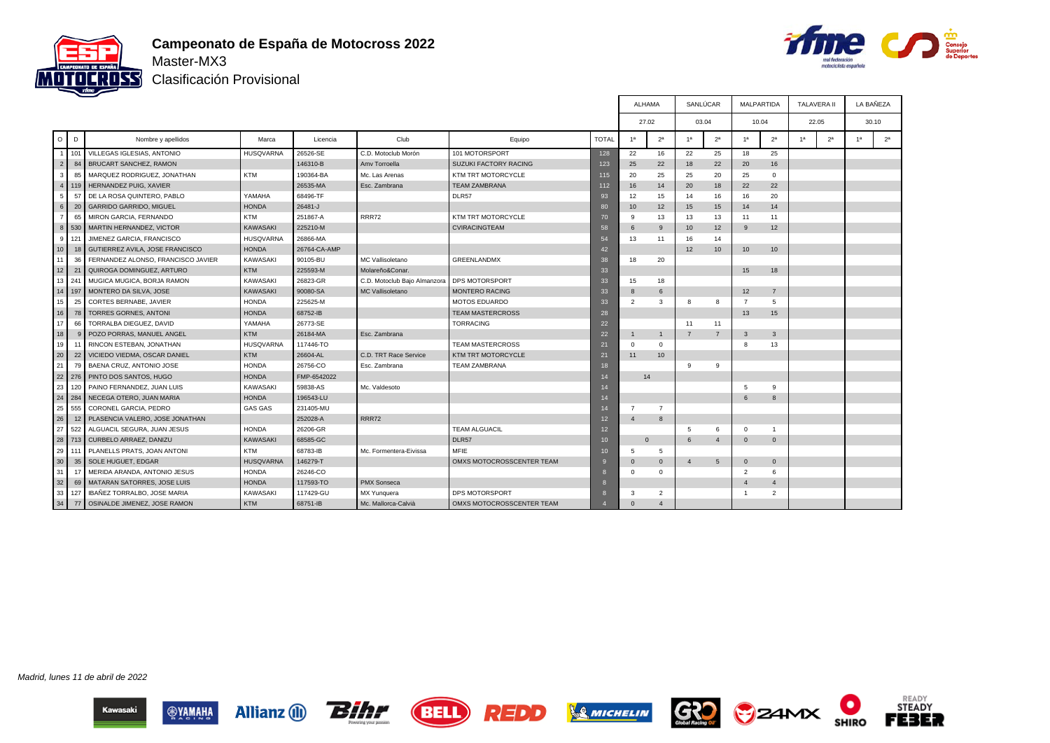



Clasificación Provisional

|                 |              |                                    |                  |              |                              |                              |              | <b>ALHAMA</b>  |                |                       | SANLÚCAR       | <b>MALPARTIDA</b> |                | <b>TALAVERA II</b> |                |                | LA BAÑEZA      |
|-----------------|--------------|------------------------------------|------------------|--------------|------------------------------|------------------------------|--------------|----------------|----------------|-----------------------|----------------|-------------------|----------------|--------------------|----------------|----------------|----------------|
|                 |              |                                    |                  |              |                              |                              |              | 27.02          |                | 03.04                 |                | 10.04             |                | 22.05              |                |                | 30.10          |
| $\circ$ 1       | D            | Nombre y apellidos                 | Marca            | Licencia     | Club                         | Equipo                       | <b>TOTAL</b> | 1 <sub>a</sub> | 2 <sup>a</sup> | 1 <sup>a</sup>        | 2 <sup>a</sup> | 1 <sup>a</sup>    | 2 <sup>a</sup> | 1 <sup>a</sup>     | 2 <sup>a</sup> | 1 <sup>a</sup> | 2 <sup>a</sup> |
| -1 L            | 101          | VILLEGAS IGLESIAS, ANTONIO         | <b>HUSQVARNA</b> | 26526-SE     | C.D. Motoclub Morón          | 101 MOTORSPORT               | 128          | 22             | 16             | 22                    | 25             | 18                | 25             |                    |                |                |                |
| $\overline{2}$  | 84           | BRUCART SANCHEZ, RAMON             |                  | 146310-B     | Amy Torroella                | <b>SUZUKI FACTORY RACING</b> | 123          | 25             | 22             | 18                    | 22             | 20                | 16             |                    |                |                |                |
| 3               | 85           | MARQUEZ RODRIGUEZ, JONATHAN        | KTM              | 190364-BA    | Mc. Las Arenas               | KTM TRT MOTORCYCLE           | 115          | 20             | 25             | 25                    | 20             | 25                | $\mathbf 0$    |                    |                |                |                |
| 4               | 119          | HERNANDEZ PUIG, XAVIER             |                  | 26535-MA     | Esc. Zambrana                | <b>TEAM ZAMBRANA</b>         | 112          | 16             | 14             | 20                    | 18             | 22                | 22             |                    |                |                |                |
| 5               | 57           | DE LA ROSA QUINTERO. PABLO         | YAMAHA           | 68496-TF     |                              | DLR57                        | 93           | 12             | 15             | 14                    | 16             | 16                | 20             |                    |                |                |                |
| 6 <sup>1</sup>  | 20           | <b>GARRIDO GARRIDO, MIGUEL</b>     | <b>HONDA</b>     | 26481-J      |                              |                              | 80           | 10             | 12             | 15                    | 15             | 14                | 14             |                    |                |                |                |
| $\overline{7}$  | 65           | MIRON GARCIA, FERNANDO             | <b>KTM</b>       | 251867-A     | <b>RRR72</b>                 | KTM TRT MOTORCYCLE           | 70           | 9              | 13             | 13                    | 13             | 11                | 11             |                    |                |                |                |
| 8 <sup>1</sup>  | 530          | MARTIN HERNANDEZ, VICTOR           | <b>KAWASAKI</b>  | 225210-M     |                              | <b>CVIRACINGTEAM</b>         | 58           | 6              | -9             | 10                    | 12             | 9                 | 12             |                    |                |                |                |
| 9               | 121          | JIMENEZ GARCIA, FRANCISCO          | <b>HUSQVARNA</b> | 26866-MA     |                              |                              | 54           | 13             | 11             | 16                    | 14             |                   |                |                    |                |                |                |
| 10 <sup>1</sup> | 18           | GUTIERREZ AVILA, JOSE FRANCISCO    | <b>HONDA</b>     | 26764-CA-AMP |                              |                              | 42           |                |                | 12                    | 10             | 10 <sup>10</sup>  | 10             |                    |                |                |                |
| 11              | 36           | FERNANDEZ ALONSO, FRANCISCO JAVIER | KAWASAKI         | 90105-BU     | MC Vallisoletano             | <b>GREENLANDMX</b>           | 38           | 18             | 20             |                       |                |                   |                |                    |                |                |                |
| 12              | 21           | QUIROGA DOMINGUEZ, ARTURO          | KTM              | 225593-M     | Molareño&Conar.              |                              | 33           |                |                |                       |                | 15                | 18             |                    |                |                |                |
| 13              | 241          | MUGICA MUGICA, BORJA RAMON         | KAWASAKI         | 26823-GR     | C.D. Motoclub Bajo Almanzora | <b>DPS MOTORSPORT</b>        | 33           | 15             | 18             |                       |                |                   |                |                    |                |                |                |
| 14 <sup>1</sup> | 197          | MONTERO DA SILVA, JOSE             | <b>KAWASAKI</b>  | 90080-SA     | MC Vallisoletano             | <b>MONTERO RACING</b>        | 33           | 8              | 6              |                       |                | 12                | $\overline{7}$ |                    |                |                |                |
| 15 <sup>1</sup> | 25           | <b>CORTES BERNABE, JAVIER</b>      | <b>HONDA</b>     | 225625-M     |                              | <b>MOTOS EDUARDO</b>         | 33           | 2              | 3              | 8                     | 8              | $\overline{7}$    | 5              |                    |                |                |                |
| 16              | 78           | <b>TORRES GORNES, ANTONI</b>       | <b>HONDA</b>     | 68752-IB     |                              | <b>TEAM MASTERCROSS</b>      | 28           |                |                |                       |                | 13                | 15             |                    |                |                |                |
| 17              | 66           | TORRALBA DIEGUEZ, DAVID            | YAMAHA           | 26773-SE     |                              | <b>TORRACING</b>             | 22           |                |                | 11                    | 11             |                   |                |                    |                |                |                |
| 18              | $\mathsf{Q}$ | POZO PORRAS, MANUEL ANGEL          | <b>KTM</b>       | 26184-MA     | Esc. Zambrana                |                              | 22           | $\mathbf{1}$   | $\overline{1}$ | $\overline{7}$        | $\overline{7}$ | 3                 | $\overline{3}$ |                    |                |                |                |
| 19              | 11           | RINCON ESTEBAN, JONATHAN           | <b>HUSQVARNA</b> | 117446-TO    |                              | <b>TEAM MASTERCROSS</b>      | 21           | $\mathbf 0$    | $\overline{0}$ |                       |                | 8                 | 13             |                    |                |                |                |
| 20              | 22           | VICIEDO VIEDMA, OSCAR DANIEL       | <b>KTM</b>       | 26604-AL     | C.D. TRT Race Service        | <b>KTM TRT MOTORCYCLE</b>    | 21           | 11             | 10             |                       |                |                   |                |                    |                |                |                |
| 21              | 79           | BAENA CRUZ, ANTONIO JOSE           | <b>HONDA</b>     | 26756-CO     | Esc. Zambrana                | <b>TEAM ZAMBRANA</b>         | 18           |                |                | 9                     | 9              |                   |                |                    |                |                |                |
| 22              | 276          | PINTO DOS SANTOS, HUGO             | <b>HONDA</b>     | FMP-6542022  |                              |                              | 14           | 14             |                |                       |                |                   |                |                    |                |                |                |
| 23              | 120          | PAINO FERNANDEZ, JUAN LUIS         | KAWASAKI         | 59838-AS     | Mc. Valdesoto                |                              | 14           |                |                |                       |                | 5                 | 9              |                    |                |                |                |
| 24              | 284          | NECEGA OTERO, JUAN MARIA           | <b>HONDA</b>     | 196543-LU    |                              |                              | 14           |                |                |                       |                | 6                 | $\mathbf{8}$   |                    |                |                |                |
| 25              | 555          | CORONEL GARCIA, PEDRO              | GAS GAS          | 231405-MU    |                              |                              | 14           | $\overline{7}$ | $\overline{7}$ |                       |                |                   |                |                    |                |                |                |
| 26              | 12           | PLASENCIA VALERO, JOSE JONATHAN    |                  | 252028-A     | <b>RRR72</b>                 |                              | 12           | $\overline{4}$ | 8              |                       |                |                   |                |                    |                |                |                |
| 27              | 522          | ALGUACIL SEGURA, JUAN JESUS        | <b>HONDA</b>     | 26206-GR     |                              | <b>TEAM ALGUACIL</b>         | 12           |                |                | 5                     | 6              | $\mathbf 0$       | $\overline{1}$ |                    |                |                |                |
| 28              | 713          | CURBELO ARRAEZ, DANIZU             | <b>KAWASAKI</b>  | 68585-GC     |                              | DLR57                        | 10           | $\Omega$       |                | 6                     | $\overline{4}$ | $\mathbf{0}$      | $\overline{0}$ |                    |                |                |                |
| 29              | 111          | PLANELLS PRATS, JOAN ANTONI        | <b>KTM</b>       | 68783-IB     | Mc. Formentera-Eivissa       | MFIE                         | 10           | 5              | 5              |                       |                |                   |                |                    |                |                |                |
| 30              | 35           | SOLE HUGUET, EDGAR                 | <b>HUSQVARNA</b> | 146279-T     |                              | OMXS MOTOCROSSCENTER TEAM    | I.G          | $\Omega$       | $\Omega$       | $\boldsymbol{\Delta}$ | 5              | $\mathbf{0}$      | $\overline{0}$ |                    |                |                |                |
| 31              | 17           | MERIDA ARANDA, ANTONIO JESUS       | <b>HONDA</b>     | 26246-CO     |                              |                              |              | $\mathbf 0$    | $\overline{0}$ |                       |                | $\overline{2}$    | 6              |                    |                |                |                |
| 32              | 69           | MATARAN SATORRES, JOSE LUIS        | <b>HONDA</b>     | 117593-TO    | <b>PMX Sonseca</b>           |                              |              |                |                |                       |                | $\overline{4}$    | $\overline{4}$ |                    |                |                |                |
| 33              | 127          | IBAÑEZ TORRALBO, JOSE MARIA        | KAWASAKI         | 117429-GU    | MX Yunguera                  | DPS MOTORSPORT               |              | 3              | $\overline{2}$ |                       |                | $\overline{1}$    | $\overline{2}$ |                    |                |                |                |
| 34              | 77           | OSINALDE JIMENEZ, JOSE RAMON       | <b>KTM</b>       | 68751-IB     | Mc. Mallorca-Calvià          | OMXS MOTOCROSSCENTER TEAM    |              | $\Omega$       | $\Delta$       |                       |                |                   |                |                    |                |                |                |

Madrid, lunes 11 de abril de 2022















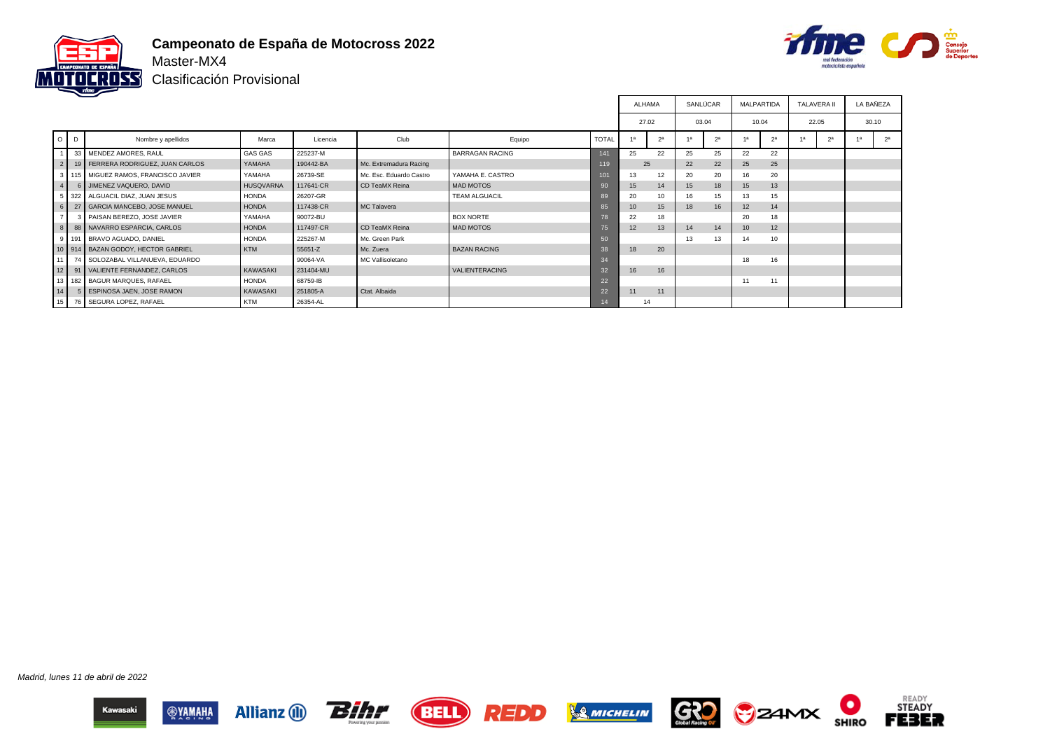



Clasificación Provisional

|                 |                |                                          |                  |           |                         |                        |              | ALHAMA |                |    | SANLÚCAR       | <b>MALPARTIDA</b> |                | <b>TALAVERA II</b> |                | LA BAÑEZA |                |
|-----------------|----------------|------------------------------------------|------------------|-----------|-------------------------|------------------------|--------------|--------|----------------|----|----------------|-------------------|----------------|--------------------|----------------|-----------|----------------|
|                 |                |                                          |                  |           |                         |                        |              | 27.02  |                |    | 03.04          | 10.04             |                | 22.05              |                |           | 30.10          |
|                 | $O$ $D$        | Nombre y apellidos                       | Marca            | Licencia  | Club                    | Equipo                 | <b>TOTAL</b> | 1a     | 2 <sup>a</sup> | 1a | 2 <sup>a</sup> |                   | 2 <sup>a</sup> | 1a                 | 2 <sup>a</sup> |           | 2 <sup>a</sup> |
|                 |                | 33 MENDEZ AMORES, RAUL                   | <b>GAS GAS</b>   | 225237-M  |                         | <b>BARRAGAN RACING</b> | 141          | 25     | 22             | 25 | 25             | 22                | 22             |                    |                |           |                |
|                 | 2 <sub>1</sub> | 19 FERRERA RODRIGUEZ, JUAN CARLOS        | YAMAHA           | 190442-BA | Mc. Extremadura Racing  |                        | 119          | 25     |                | 22 | 22             | 25                | 25             |                    |                |           |                |
|                 |                | 3   115   MIGUEZ RAMOS, FRANCISCO JAVIER | YAMAHA           | 26739-SE  | Mc. Esc. Eduardo Castro | YAMAHA E. CASTRO       | 101          | 13     | 12             | 20 | 20             | 16                | 20             |                    |                |           |                |
|                 | 4 <sub>1</sub> | 6 JIMENEZ VAQUERO, DAVID                 | <b>HUSQVARNA</b> | 117641-CR | CD TeaMX Reina          | MAD MOTOS              | 90           | 15     | 14             | 15 | 18             | 15                | 13             |                    |                |           |                |
|                 |                | 5 322 ALGUACIL DIAZ, JUAN JESUS          | <b>HONDA</b>     | 26207-GR  |                         | <b>TEAM ALGUACIL</b>   | 89           | 20     | 10             | 16 | 15             | 13                | 15             |                    |                |           |                |
|                 | 6              | 27   GARCIA MANCEBO, JOSE MANUEL         | <b>HONDA</b>     | 117438-CR | MC Talavera             |                        | 85           | 10     | 15             | 18 | 16             | 12                | 14             |                    |                |           |                |
| 7 <sup>1</sup>  |                | 3 PAISAN BEREZO, JOSE JAVIER             | YAMAHA           | 90072-BU  |                         | <b>BOX NORTE</b>       | 78           | 22     | 18             |    |                | 20                | 18             |                    |                |           |                |
|                 | 8 <sub>1</sub> | 88 NAVARRO ESPARCIA, CARLOS              | <b>HONDA</b>     | 117497-CR | CD TeaMX Reina          | MAD MOTOS              | 75           | 12     | 13             | 14 | 14             | 10                | 12             |                    |                |           |                |
|                 |                | 9   191   BRAVO AGUADO, DANIEL           | <b>HONDA</b>     | 225267-M  | Mc. Green Park          |                        | 50           |        |                | 13 | 13             | 14                | 10             |                    |                |           |                |
|                 |                | 10 914 BAZAN GODOY, HECTOR GABRIEL       | <b>KTM</b>       | 55651-Z   | Mc. Zuera               | <b>BAZAN RACING</b>    | 38           | 18     | 20             |    |                |                   |                |                    |                |           |                |
|                 |                | 11 74 SOLOZABAL VILLANUEVA, EDUARDO      |                  | 90064-VA  | MC Vallisoletano        |                        | 34           |        |                |    |                | 18                | 16             |                    |                |           |                |
|                 |                | 12 91 VALIENTE FERNANDEZ, CARLOS         | KAWASAKI         | 231404-MU |                         | <b>VALIENTERACING</b>  | 32           | 16     | 16             |    |                |                   |                |                    |                |           |                |
|                 |                | 13 182 BAGUR MARQUES, RAFAEL             | <b>HONDA</b>     | 68759-IB  |                         |                        | 22           |        |                |    |                | 11                | 11             |                    |                |           |                |
| 14 <sup>1</sup> |                | 5 ESPINOSA JAEN, JOSE RAMON              | <b>KAWASAKI</b>  | 251805-A  | Ctat. Albaida           |                        | 22           | 11     | 11             |    |                |                   |                |                    |                |           |                |
|                 |                | 15 76 SEGURA LOPEZ, RAFAEL               | <b>KTM</b>       | 26354-AL  |                         |                        |              | 14     |                |    |                |                   |                |                    |                |           |                |

Madrid, lunes 11 de abril de 2022













О

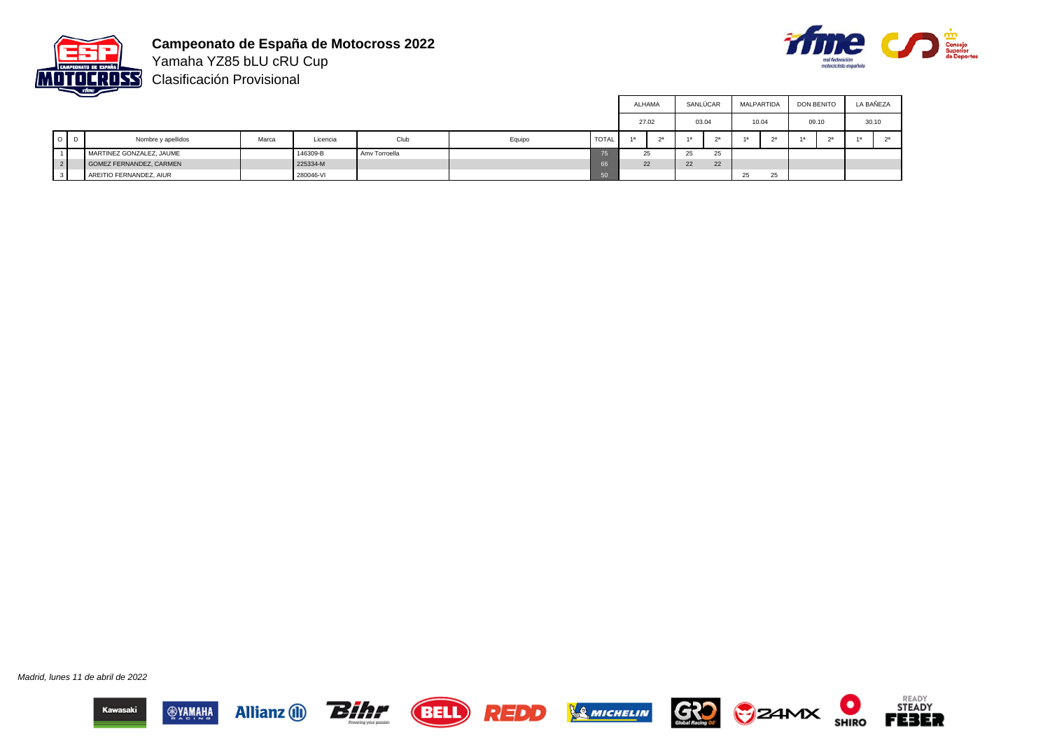



Yamaha YZ85 bLU cRU Cup Clasificación Provisional

|        |                          |       |           |               |        |       |    | ALHAMA |    | SANLÚCAR | MALPARTIDA |       | <b>DON BENITO</b> |       | LA BAÑEZA |
|--------|--------------------------|-------|-----------|---------------|--------|-------|----|--------|----|----------|------------|-------|-------------------|-------|-----------|
|        |                          |       |           |               |        |       |    | 27.02  |    | 03.04    |            | 10.04 |                   | 09.10 | 30.10     |
| 10 I D | Nombre y apellidos       | Marca | Licencia  | Club          | Equipo | TOTAL | 4a | າລ     | 1a | $\alpha$ |            |       |                   | 2a    |           |
|        | MARTINEZ GONZALEZ, JAUME |       | 146309-B  | Amv Torroella |        |       |    | 25     | 25 | 25       |            |       |                   |       |           |
|        | GOMEZ FERNANDEZ, CARMEN  |       | 225334-M  |               |        |       |    | 22     | 22 | 22       |            |       |                   |       |           |
|        | AREITIO FERNANDEZ, AIUR  |       | 280046-VI |               |        | uolu. |    |        |    |          | 25         | 25    |                   |       |           |

Madrid, lunes 11 de abril de 2022













READY<br>STEADY

**FEBER**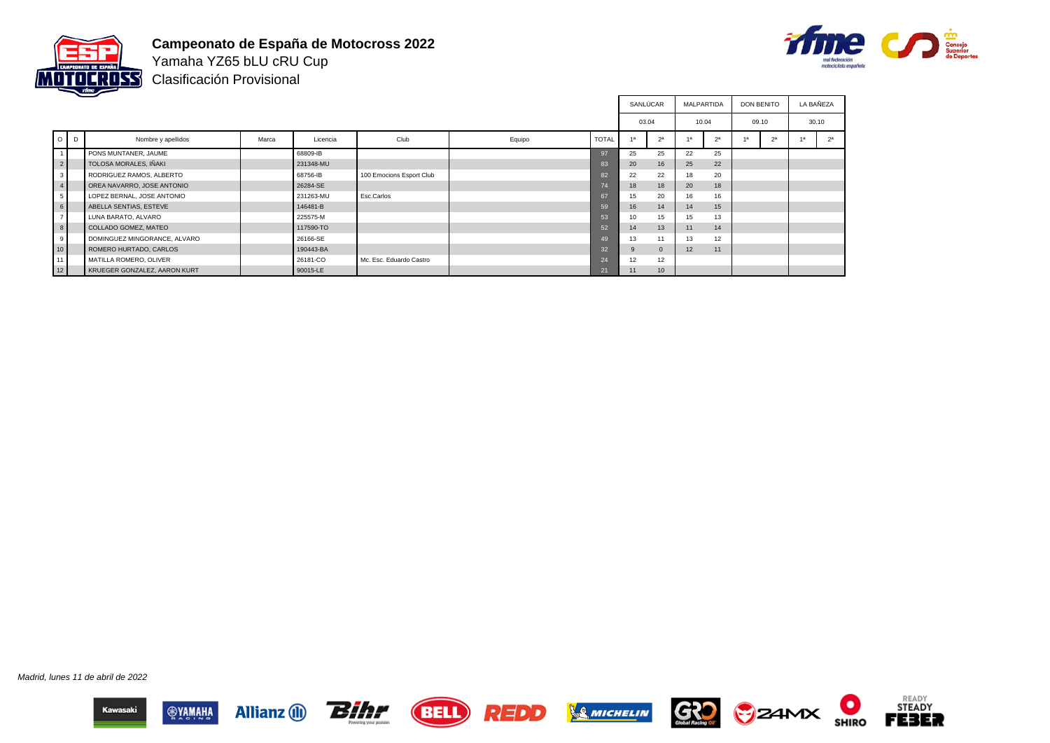



Yamaha YZ65 bLU cRU Cup Clasificación Provisional

|                |         |                              |       |           |                          |        |                 |                 | SANLÚCAR       | <b>MALPARTIDA</b> |                | <b>DON BENITO</b> |                | LA BAÑEZA |                |
|----------------|---------|------------------------------|-------|-----------|--------------------------|--------|-----------------|-----------------|----------------|-------------------|----------------|-------------------|----------------|-----------|----------------|
|                |         |                              |       |           |                          |        |                 | 03.04           |                | 10.04             |                | 09.10             |                |           | 30.10          |
|                | $O$ $D$ | Nombre y apellidos           | Marca | Licencia  | Club                     | Equipo | <b>TOTAL</b>    | $\overline{AB}$ | 2 <sup>a</sup> |                   | 2 <sup>a</sup> | 1a                | 2 <sup>a</sup> |           | 2 <sup>a</sup> |
| 1 <sup>1</sup> |         | PONS MUNTANER, JAUME         |       | 68809-IB  |                          |        | 97              | 25              | 25             | 22                | 25             |                   |                |           |                |
| $\frac{2}{ }$  |         | TOLOSA MORALES, IÑAKI        |       | 231348-MU |                          |        | 83              | 20              | 16             | 25                | 22             |                   |                |           |                |
| 3 <sup>1</sup> |         | RODRIGUEZ RAMOS, ALBERTO     |       | 68756-IB  | 100 Emocions Esport Club |        | 82              | 22              | 22             | 18                | 20             |                   |                |           |                |
| 4              |         | OREA NAVARRO, JOSE ANTONIO   |       | 26284-SE  |                          |        | 74              | 18              | 18             | 20                | 18             |                   |                |           |                |
| 5 <sup>1</sup> |         | LOPEZ BERNAL, JOSE ANTONIO   |       | 231263-MU | Esc.Carlos               |        | 67              | 15              | 20             | 16                | 16             |                   |                |           |                |
| 6              |         | ABELLA SENTIAS, ESTEVE       |       | 146481-B  |                          |        | 59              | 16              | 14             | 14                | 15             |                   |                |           |                |
| 7 <sup>1</sup> |         | LUNA BARATO, ALVARO          |       | 225575-M  |                          |        | 53              | 10 <sup>1</sup> | 15             | 15                | 13             |                   |                |           |                |
| 8              |         | COLLADO GOMEZ, MATEO         |       | 117590-TO |                          |        | 52              | 14              | 13             | 11                | 14             |                   |                |           |                |
| 9              |         | DOMINGUEZ MINGORANCE, ALVARO |       | 26166-SE  |                          |        | 49              | 13              | 11             | 13                | 12             |                   |                |           |                |
| 10             |         | ROMERO HURTADO, CARLOS       |       | 190443-BA |                          |        | 32 <sup>2</sup> | 9               | $\Omega$       | 12 <sup>2</sup>   | 11             |                   |                |           |                |
| 11             |         | MATILLA ROMERO, OLIVER       |       | 26181-CO  | Mc. Esc. Eduardo Castro  |        | 24              | 12              | 12             |                   |                |                   |                |           |                |
| 12             |         | KRUEGER GONZALEZ, AARON KURT |       | 90015-LE  |                          |        | 21              | 11              | 10             |                   |                |                   |                |           |                |

Madrid, lunes 11 de abril de 2022













О